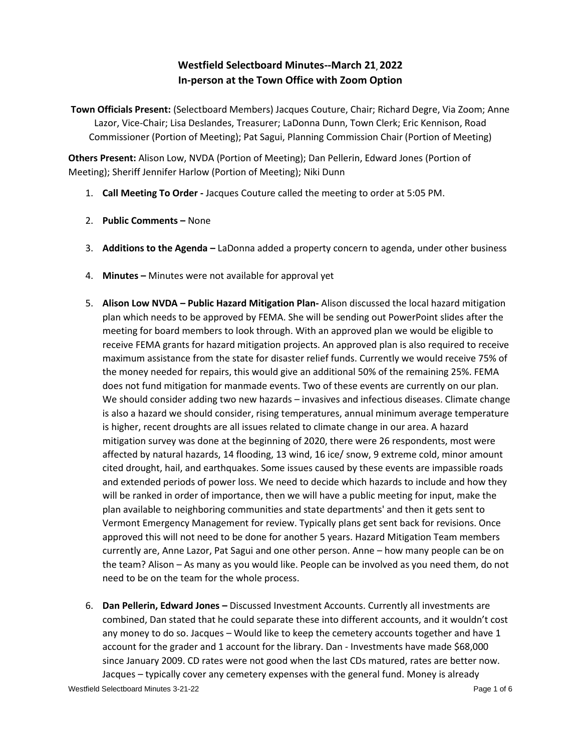# **Westfield Selectboard Minutes--March 21, 2022 In-person at the Town Office with Zoom Option**

**Town Officials Present:** (Selectboard Members) Jacques Couture, Chair; Richard Degre, Via Zoom; Anne Lazor, Vice-Chair; Lisa Deslandes, Treasurer; LaDonna Dunn, Town Clerk; Eric Kennison, Road Commissioner (Portion of Meeting); Pat Sagui, Planning Commission Chair (Portion of Meeting)

**Others Present:** Alison Low, NVDA (Portion of Meeting); Dan Pellerin, Edward Jones (Portion of Meeting); Sheriff Jennifer Harlow (Portion of Meeting); Niki Dunn

- 1. **Call Meeting To Order -** Jacques Couture called the meeting to order at 5:05 PM.
- 2. **Public Comments –** None
- 3. **Additions to the Agenda –** LaDonna added a property concern to agenda, under other business
- 4. **Minutes –** Minutes were not available for approval yet
- 5. **Alison Low NVDA – Public Hazard Mitigation Plan-** Alison discussed the local hazard mitigation plan which needs to be approved by FEMA. She will be sending out PowerPoint slides after the meeting for board members to look through. With an approved plan we would be eligible to receive FEMA grants for hazard mitigation projects. An approved plan is also required to receive maximum assistance from the state for disaster relief funds. Currently we would receive 75% of the money needed for repairs, this would give an additional 50% of the remaining 25%. FEMA does not fund mitigation for manmade events. Two of these events are currently on our plan. We should consider adding two new hazards – invasives and infectious diseases. Climate change is also a hazard we should consider, rising temperatures, annual minimum average temperature is higher, recent droughts are all issues related to climate change in our area. A hazard mitigation survey was done at the beginning of 2020, there were 26 respondents, most were affected by natural hazards, 14 flooding, 13 wind, 16 ice/ snow, 9 extreme cold, minor amount cited drought, hail, and earthquakes. Some issues caused by these events are impassible roads and extended periods of power loss. We need to decide which hazards to include and how they will be ranked in order of importance, then we will have a public meeting for input, make the plan available to neighboring communities and state departments' and then it gets sent to Vermont Emergency Management for review. Typically plans get sent back for revisions. Once approved this will not need to be done for another 5 years. Hazard Mitigation Team members currently are, Anne Lazor, Pat Sagui and one other person. Anne – how many people can be on the team? Alison – As many as you would like. People can be involved as you need them, do not need to be on the team for the whole process.
- 6. **Dan Pellerin, Edward Jones –** Discussed Investment Accounts. Currently all investments are combined, Dan stated that he could separate these into different accounts, and it wouldn't cost any money to do so. Jacques – Would like to keep the cemetery accounts together and have 1 account for the grader and 1 account for the library. Dan - Investments have made \$68,000 since January 2009. CD rates were not good when the last CDs matured, rates are better now. Jacques – typically cover any cemetery expenses with the general fund. Money is already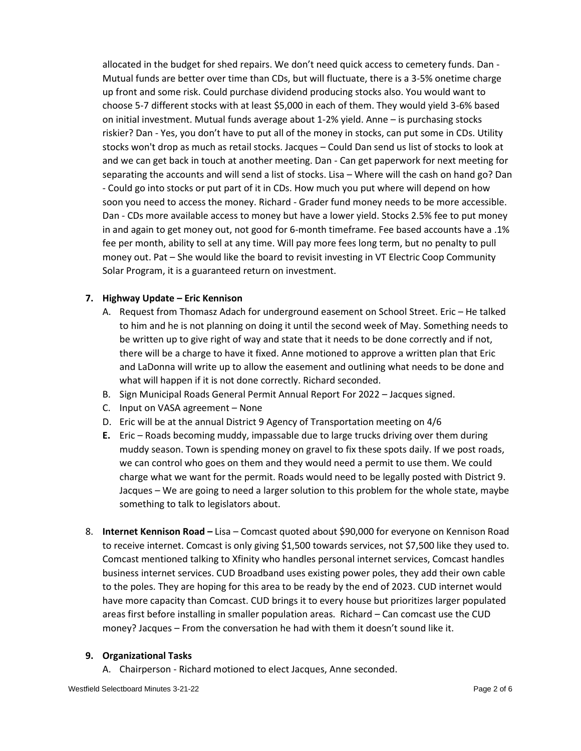allocated in the budget for shed repairs. We don't need quick access to cemetery funds. Dan - Mutual funds are better over time than CDs, but will fluctuate, there is a 3-5% onetime charge up front and some risk. Could purchase dividend producing stocks also. You would want to choose 5-7 different stocks with at least \$5,000 in each of them. They would yield 3-6% based on initial investment. Mutual funds average about 1-2% yield. Anne – is purchasing stocks riskier? Dan - Yes, you don't have to put all of the money in stocks, can put some in CDs. Utility stocks won't drop as much as retail stocks. Jacques – Could Dan send us list of stocks to look at and we can get back in touch at another meeting. Dan - Can get paperwork for next meeting for separating the accounts and will send a list of stocks. Lisa – Where will the cash on hand go? Dan - Could go into stocks or put part of it in CDs. How much you put where will depend on how soon you need to access the money. Richard - Grader fund money needs to be more accessible. Dan - CDs more available access to money but have a lower yield. Stocks 2.5% fee to put money in and again to get money out, not good for 6-month timeframe. Fee based accounts have a .1% fee per month, ability to sell at any time. Will pay more fees long term, but no penalty to pull money out. Pat – She would like the board to revisit investing in VT Electric Coop Community Solar Program, it is a guaranteed return on investment.

## **7. Highway Update – Eric Kennison**

- A. Request from Thomasz Adach for underground easement on School Street. Eric He talked to him and he is not planning on doing it until the second week of May. Something needs to be written up to give right of way and state that it needs to be done correctly and if not, there will be a charge to have it fixed. Anne motioned to approve a written plan that Eric and LaDonna will write up to allow the easement and outlining what needs to be done and what will happen if it is not done correctly. Richard seconded.
- B. Sign Municipal Roads General Permit Annual Report For 2022 Jacques signed.
- C. Input on VASA agreement None
- D. Eric will be at the annual District 9 Agency of Transportation meeting on 4/6
- **E.** Eric Roads becoming muddy, impassable due to large trucks driving over them during muddy season. Town is spending money on gravel to fix these spots daily. If we post roads, we can control who goes on them and they would need a permit to use them. We could charge what we want for the permit. Roads would need to be legally posted with District 9. Jacques – We are going to need a larger solution to this problem for the whole state, maybe something to talk to legislators about.
- 8. **Internet Kennison Road –** Lisa Comcast quoted about \$90,000 for everyone on Kennison Road to receive internet. Comcast is only giving \$1,500 towards services, not \$7,500 like they used to. Comcast mentioned talking to Xfinity who handles personal internet services, Comcast handles business internet services. CUD Broadband uses existing power poles, they add their own cable to the poles. They are hoping for this area to be ready by the end of 2023. CUD internet would have more capacity than Comcast. CUD brings it to every house but prioritizes larger populated areas first before installing in smaller population areas. Richard – Can comcast use the CUD money? Jacques – From the conversation he had with them it doesn't sound like it.

## **9. Organizational Tasks**

A. Chairperson - Richard motioned to elect Jacques, Anne seconded.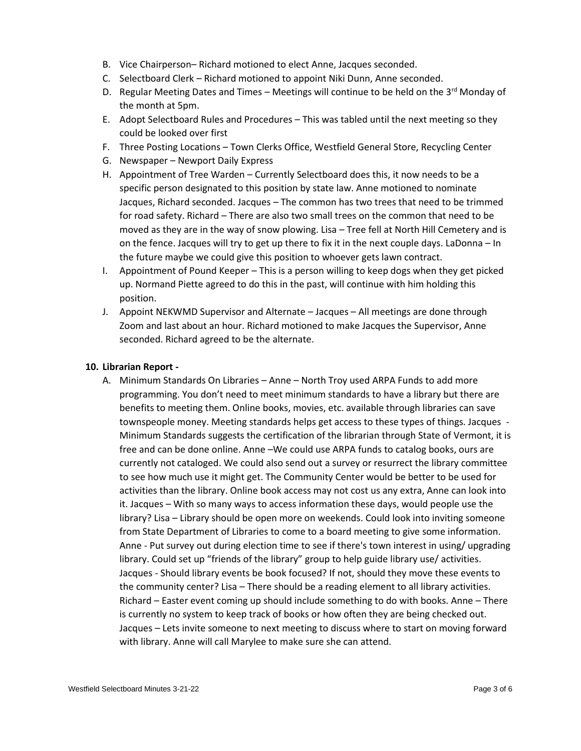- B. Vice Chairperson– Richard motioned to elect Anne, Jacques seconded.
- C. Selectboard Clerk Richard motioned to appoint Niki Dunn, Anne seconded.
- D. Regular Meeting Dates and Times Meetings will continue to be held on the 3<sup>rd</sup> Monday of the month at 5pm.
- E. Adopt Selectboard Rules and Procedures This was tabled until the next meeting so they could be looked over first
- F. Three Posting Locations Town Clerks Office, Westfield General Store, Recycling Center
- G. Newspaper Newport Daily Express
- H. Appointment of Tree Warden Currently Selectboard does this, it now needs to be a specific person designated to this position by state law. Anne motioned to nominate Jacques, Richard seconded. Jacques – The common has two trees that need to be trimmed for road safety. Richard – There are also two small trees on the common that need to be moved as they are in the way of snow plowing. Lisa – Tree fell at North Hill Cemetery and is on the fence. Jacques will try to get up there to fix it in the next couple days. LaDonna – In the future maybe we could give this position to whoever gets lawn contract.
- I. Appointment of Pound Keeper This is a person willing to keep dogs when they get picked up. Normand Piette agreed to do this in the past, will continue with him holding this position.
- J. Appoint NEKWMD Supervisor and Alternate Jacques All meetings are done through Zoom and last about an hour. Richard motioned to make Jacques the Supervisor, Anne seconded. Richard agreed to be the alternate.

#### **10. Librarian Report -**

A. Minimum Standards On Libraries – Anne – North Troy used ARPA Funds to add more programming. You don't need to meet minimum standards to have a library but there are benefits to meeting them. Online books, movies, etc. available through libraries can save townspeople money. Meeting standards helps get access to these types of things. Jacques - Minimum Standards suggests the certification of the librarian through State of Vermont, it is free and can be done online. Anne –We could use ARPA funds to catalog books, ours are currently not cataloged. We could also send out a survey or resurrect the library committee to see how much use it might get. The Community Center would be better to be used for activities than the library. Online book access may not cost us any extra, Anne can look into it. Jacques – With so many ways to access information these days, would people use the library? Lisa – Library should be open more on weekends. Could look into inviting someone from State Department of Libraries to come to a board meeting to give some information. Anne - Put survey out during election time to see if there's town interest in using/ upgrading library. Could set up "friends of the library" group to help guide library use/ activities. Jacques - Should library events be book focused? If not, should they move these events to the community center? Lisa – There should be a reading element to all library activities. Richard – Easter event coming up should include something to do with books. Anne – There is currently no system to keep track of books or how often they are being checked out. Jacques – Lets invite someone to next meeting to discuss where to start on moving forward with library. Anne will call Marylee to make sure she can attend.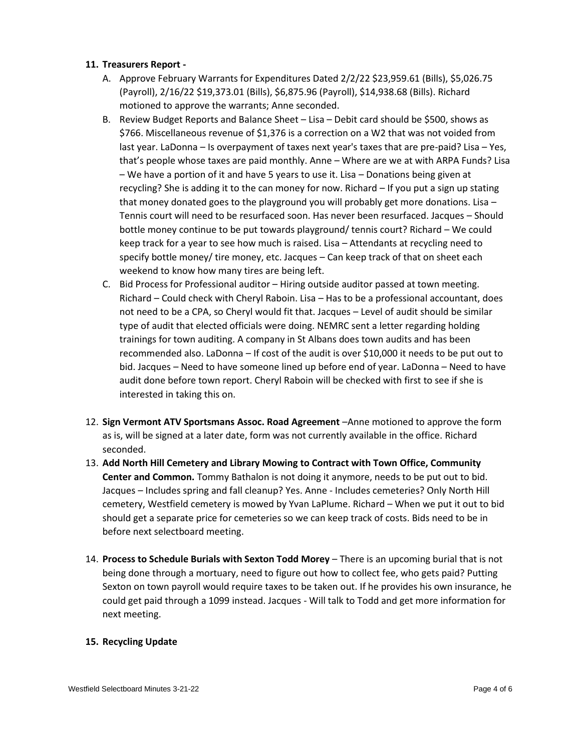## **11. Treasurers Report -**

- A. Approve February Warrants for Expenditures Dated 2/2/22 \$23,959.61 (Bills), \$5,026.75 (Payroll), 2/16/22 \$19,373.01 (Bills), \$6,875.96 (Payroll), \$14,938.68 (Bills). Richard motioned to approve the warrants; Anne seconded.
- B. Review Budget Reports and Balance Sheet Lisa Debit card should be \$500, shows as \$766. Miscellaneous revenue of \$1,376 is a correction on a W2 that was not voided from last year. LaDonna – Is overpayment of taxes next year's taxes that are pre-paid? Lisa – Yes, that's people whose taxes are paid monthly. Anne – Where are we at with ARPA Funds? Lisa – We have a portion of it and have 5 years to use it. Lisa – Donations being given at recycling? She is adding it to the can money for now. Richard – If you put a sign up stating that money donated goes to the playground you will probably get more donations. Lisa  $-$ Tennis court will need to be resurfaced soon. Has never been resurfaced. Jacques – Should bottle money continue to be put towards playground/ tennis court? Richard – We could keep track for a year to see how much is raised. Lisa – Attendants at recycling need to specify bottle money/ tire money, etc. Jacques – Can keep track of that on sheet each weekend to know how many tires are being left.
- C. Bid Process for Professional auditor Hiring outside auditor passed at town meeting. Richard – Could check with Cheryl Raboin. Lisa – Has to be a professional accountant, does not need to be a CPA, so Cheryl would fit that. Jacques – Level of audit should be similar type of audit that elected officials were doing. NEMRC sent a letter regarding holding trainings for town auditing. A company in St Albans does town audits and has been recommended also. LaDonna – If cost of the audit is over \$10,000 it needs to be put out to bid. Jacques – Need to have someone lined up before end of year. LaDonna – Need to have audit done before town report. Cheryl Raboin will be checked with first to see if she is interested in taking this on.
- 12. **Sign Vermont ATV Sportsmans Assoc. Road Agreement** –Anne motioned to approve the form as is, will be signed at a later date, form was not currently available in the office. Richard seconded.
- 13. **Add North Hill Cemetery and Library Mowing to Contract with Town Office, Community Center and Common.** Tommy Bathalon is not doing it anymore, needs to be put out to bid. Jacques – Includes spring and fall cleanup? Yes. Anne - Includes cemeteries? Only North Hill cemetery, Westfield cemetery is mowed by Yvan LaPlume. Richard – When we put it out to bid should get a separate price for cemeteries so we can keep track of costs. Bids need to be in before next selectboard meeting.
- 14. **Process to Schedule Burials with Sexton Todd Morey** There is an upcoming burial that is not being done through a mortuary, need to figure out how to collect fee, who gets paid? Putting Sexton on town payroll would require taxes to be taken out. If he provides his own insurance, he could get paid through a 1099 instead. Jacques - Will talk to Todd and get more information for next meeting.

## **15. Recycling Update**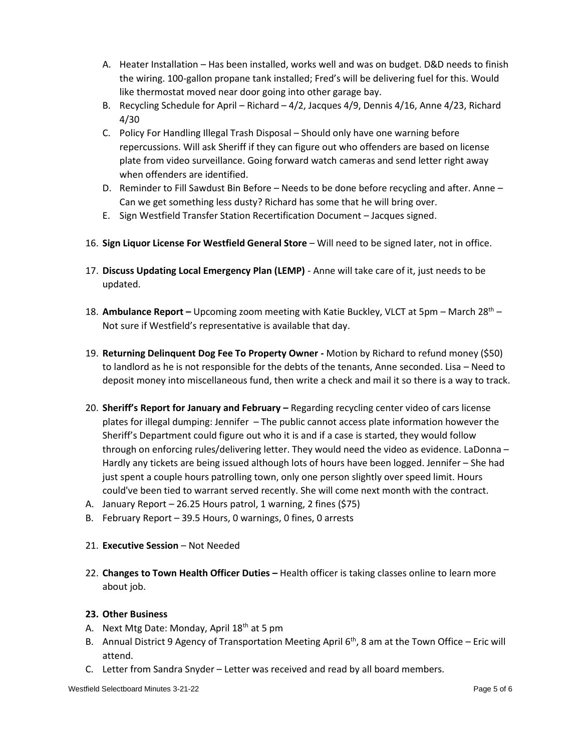- A. Heater Installation Has been installed, works well and was on budget. D&D needs to finish the wiring. 100-gallon propane tank installed; Fred's will be delivering fuel for this. Would like thermostat moved near door going into other garage bay.
- B. Recycling Schedule for April Richard 4/2, Jacques 4/9, Dennis 4/16, Anne 4/23, Richard 4/30
- C. Policy For Handling Illegal Trash Disposal Should only have one warning before repercussions. Will ask Sheriff if they can figure out who offenders are based on license plate from video surveillance. Going forward watch cameras and send letter right away when offenders are identified.
- D. Reminder to Fill Sawdust Bin Before Needs to be done before recycling and after. Anne Can we get something less dusty? Richard has some that he will bring over.
- E. Sign Westfield Transfer Station Recertification Document Jacques signed.
- 16. **Sign Liquor License For Westfield General Store** Will need to be signed later, not in office.
- 17. **Discuss Updating Local Emergency Plan (LEMP)**  Anne will take care of it, just needs to be updated.
- 18. **Ambulance Report –** Upcoming zoom meeting with Katie Buckley, VLCT at 5pm March 28th Not sure if Westfield's representative is available that day.
- 19. **Returning Delinquent Dog Fee To Property Owner -** Motion by Richard to refund money (\$50) to landlord as he is not responsible for the debts of the tenants, Anne seconded. Lisa – Need to deposit money into miscellaneous fund, then write a check and mail it so there is a way to track.
- 20. **Sheriff's Report for January and February –** Regarding recycling center video of cars license plates for illegal dumping: Jennifer – The public cannot access plate information however the Sheriff's Department could figure out who it is and if a case is started, they would follow through on enforcing rules/delivering letter. They would need the video as evidence. LaDonna – Hardly any tickets are being issued although lots of hours have been logged. Jennifer – She had just spent a couple hours patrolling town, only one person slightly over speed limit. Hours could've been tied to warrant served recently. She will come next month with the contract.
- A. January Report 26.25 Hours patrol, 1 warning, 2 fines (\$75)
- B. February Report 39.5 Hours, 0 warnings, 0 fines, 0 arrests
- 21. **Executive Session** Not Needed
- 22. **Changes to Town Health Officer Duties –** Health officer is taking classes online to learn more about job.

## **23. Other Business**

- A. Next Mtg Date: Monday, April 18<sup>th</sup> at 5 pm
- B. Annual District 9 Agency of Transportation Meeting April  $6<sup>th</sup>$ , 8 am at the Town Office Eric will attend.
- C. Letter from Sandra Snyder Letter was received and read by all board members.